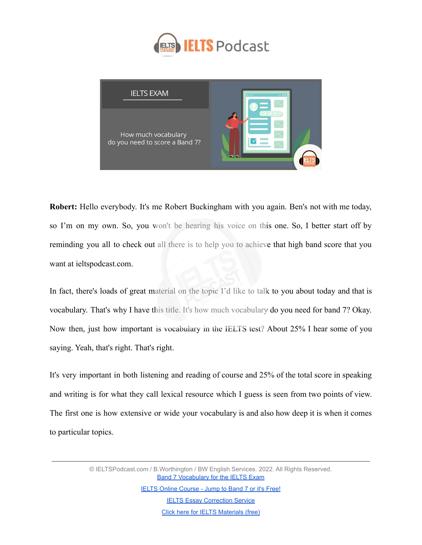



**Robert:** Hello everybody. It's me Robert Buckingham with you again. Ben's not with me today, so I'm on my own. So, you won't be hearing his voice on this one. So, I better start off by reminding you all to check out all there is to help you to achieve that high band score that you want at ieltspodcast.com.

In fact, there's loads of great material on the topic I'd like to talk to you about today and that is vocabulary. That's why I have this title. It's how much vocabulary do you need for band 7? Okay. Now then, just how important is vocabulary in the IELTS test? About 25% I hear some of you saying. Yeah, that's right. That's right.

It's very important in both listening and reading of course and 25% of the total score in speaking and writing is for what they call lexical resource which I guess is seen from two points of view. The first one is how extensive or wide your vocabulary is and also how deep it is when it comes to particular topics.

> © IELTSPodcast.com / B.Worthington / BW English Services. 2022. All Rights Reserved. **[Band 7 Vocabulary for the IELTS Exam](https://www.ieltspodcast.com/audio-tutorials/band-7-vocabulary-ielts-exam/?utm_source=blog_transcript&utm_medium=weekly&utm_term=&utm_content=&utm_campaign=post552)**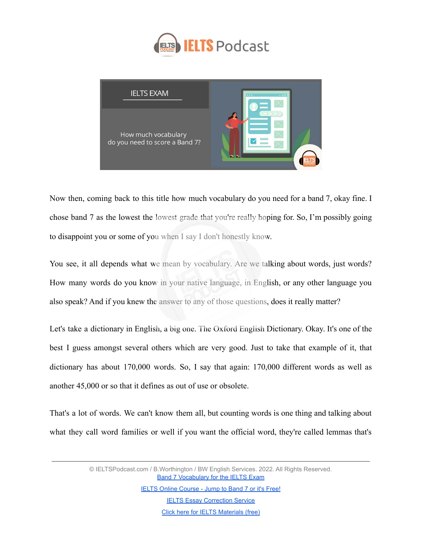



Now then, coming back to this title how much vocabulary do you need for a band 7, okay fine. I chose band 7 as the lowest the lowest grade that you're really hoping for. So, I'm possibly going to disappoint you or some of you when I say I don't honestly know.

You see, it all depends what we mean by vocabulary. Are we talking about words, just words? How many words do you know in your native language, in English, or any other language you also speak? And if you knew the answer to any of those questions, does it really matter?

Let's take a dictionary in English, a big one. The Oxford English Dictionary. Okay. It's one of the best I guess amongst several others which are very good. Just to take that example of it, that dictionary has about 170,000 words. So, I say that again: 170,000 different words as well as another 45,000 or so that it defines as out of use or obsolete.

That's a lot of words. We can't know them all, but counting words is one thing and talking about what they call word families or well if you want the official word, they're called lemmas that's

> © IELTSPodcast.com / B.Worthington / BW English Services. 2022. All Rights Reserved. **[Band 7 Vocabulary for the IELTS Exam](https://www.ieltspodcast.com/audio-tutorials/band-7-vocabulary-ielts-exam/?utm_source=blog_transcript&utm_medium=weekly&utm_term=&utm_content=&utm_campaign=post552)**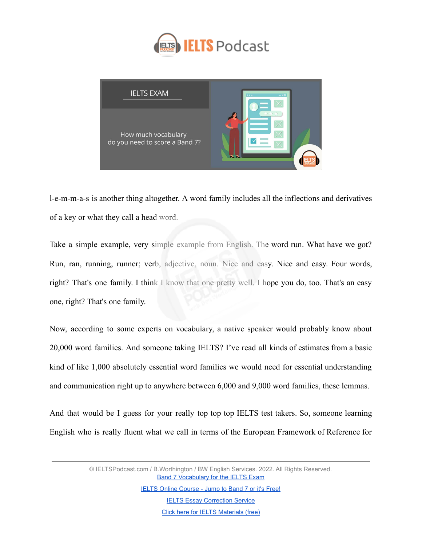



l-e-m-m-a-s is another thing altogether. A word family includes all the inflections and derivatives of a key or what they call a head word.

Take a simple example, very simple example from English. The word run. What have we got? Run, ran, running, runner; verb, adjective, noun. Nice and easy. Nice and easy. Four words, right? That's one family. I think I know that one pretty well. I hope you do, too. That's an easy one, right? That's one family.

Now, according to some experts on vocabulary, a native speaker would probably know about 20,000 word families. And someone taking IELTS? I've read all kinds of estimates from a basic kind of like 1,000 absolutely essential word families we would need for essential understanding and communication right up to anywhere between 6,000 and 9,000 word families, these lemmas.

And that would be I guess for your really top top top IELTS test takers. So, someone learning English who is really fluent what we call in terms of the European Framework of Reference for

> © IELTSPodcast.com / B.Worthington / BW English Services. 2022. All Rights Reserved. **[Band 7 Vocabulary for the IELTS Exam](https://www.ieltspodcast.com/audio-tutorials/band-7-vocabulary-ielts-exam/?utm_source=blog_transcript&utm_medium=weekly&utm_term=&utm_content=&utm_campaign=post552)**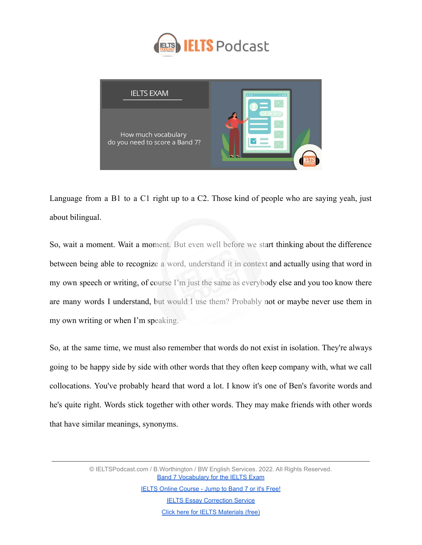



Language from a B1 to a C1 right up to a C2. Those kind of people who are saying yeah, just about bilingual.

So, wait a moment. Wait a moment. But even well before we start thinking about the difference between being able to recognize a word, understand it in context and actually using that word in my own speech or writing, of course I'm just the same as everybody else and you too know there are many words I understand, but would I use them? Probably not or maybe never use them in my own writing or when I'm speaking.

So, at the same time, we must also remember that words do not exist in isolation. They're always going to be happy side by side with other words that they often keep company with, what we call collocations. You've probably heard that word a lot. I know it's one of Ben's favorite words and he's quite right. Words stick together with other words. They may make friends with other words that have similar meanings, synonyms.

> © IELTSPodcast.com / B.Worthington / BW English Services. 2022. All Rights Reserved. **[Band 7 Vocabulary for the IELTS Exam](https://www.ieltspodcast.com/audio-tutorials/band-7-vocabulary-ielts-exam/?utm_source=blog_transcript&utm_medium=weekly&utm_term=&utm_content=&utm_campaign=post552)** [IELTS Online Course - Jump to Band 7 or it's Free!](https://www.ieltspodcast.com/online-ielts-course/?utm_source=blog_transcript&utm_medium=weekly&utm_term=&utm_content=&utm_campaign=post552)

**[IELTS Essay Correction Service](https://www.ieltspodcast.com/essay-correction-service/?utm_source=blog_transcript&utm_medium=weekly&utm_term=&utm_content=&utm_campaign=post552)** [Click here for IELTS Materials \(free\)](https://www.ieltspodcast.com/sign/?utm_source=blog_transcript&utm_medium=weekly&utm_term=&utm_content=&utm_campaign=post552)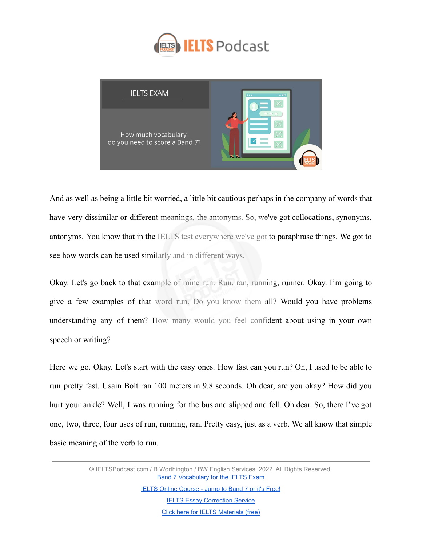



And as well as being a little bit worried, a little bit cautious perhaps in the company of words that have very dissimilar or different meanings, the antonyms. So, we've got collocations, synonyms, antonyms. You know that in the IELTS test everywhere we've got to paraphrase things. We got to see how words can be used similarly and in different ways.

Okay. Let's go back to that example of mine run. Run, ran, running, runner. Okay. I'm going to give a few examples of that word run. Do you know them all? Would you have problems understanding any of them? How many would you feel confident about using in your own speech or writing?

Here we go. Okay. Let's start with the easy ones. How fast can you run? Oh, I used to be able to run pretty fast. Usain Bolt ran 100 meters in 9.8 seconds. Oh dear, are you okay? How did you hurt your ankle? Well, I was running for the bus and slipped and fell. Oh dear. So, there I've got one, two, three, four uses of run, running, ran. Pretty easy, just as a verb. We all know that simple basic meaning of the verb to run.

> © IELTSPodcast.com / B.Worthington / BW English Services. 2022. All Rights Reserved. **[Band 7 Vocabulary for the IELTS Exam](https://www.ieltspodcast.com/audio-tutorials/band-7-vocabulary-ielts-exam/?utm_source=blog_transcript&utm_medium=weekly&utm_term=&utm_content=&utm_campaign=post552)**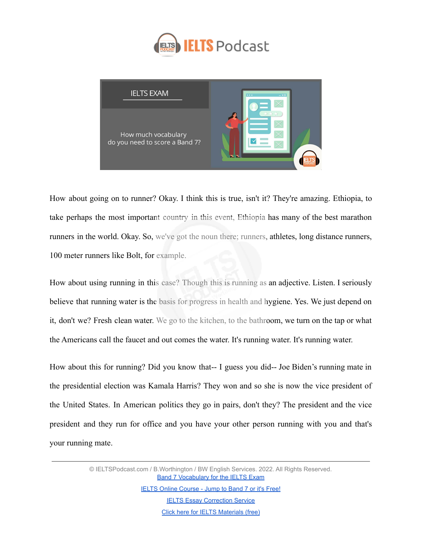



How about going on to runner? Okay. I think this is true, isn't it? They're amazing. Ethiopia, to take perhaps the most important country in this event, Ethiopia has many of the best marathon runners in the world. Okay. So, we've got the noun there; runners, athletes, long distance runners, 100 meter runners like Bolt, for example.

How about using running in this case? Though this is running as an adjective. Listen. I seriously believe that running water is the basis for progress in health and hygiene. Yes. We just depend on it, don't we? Fresh clean water. We go to the kitchen, to the bathroom, we turn on the tap or what the Americans call the faucet and out comes the water. It's running water. It's running water.

How about this for running? Did you know that-- I guess you did-- Joe Biden's running mate in the presidential election was Kamala Harris? They won and so she is now the vice president of the United States. In American politics they go in pairs, don't they? The president and the vice president and they run for office and you have your other person running with you and that's your running mate.

> © IELTSPodcast.com / B.Worthington / BW English Services. 2022. All Rights Reserved. **[Band 7 Vocabulary for the IELTS Exam](https://www.ieltspodcast.com/audio-tutorials/band-7-vocabulary-ielts-exam/?utm_source=blog_transcript&utm_medium=weekly&utm_term=&utm_content=&utm_campaign=post552)**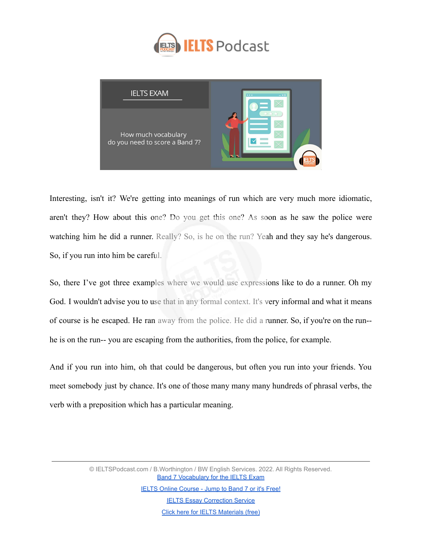



Interesting, isn't it? We're getting into meanings of run which are very much more idiomatic, aren't they? How about this one? Do you get this one? As soon as he saw the police were watching him he did a runner. Really? So, is he on the run? Yeah and they say he's dangerous. So, if you run into him be careful.

So, there I've got three examples where we would use expressions like to do a runner. Oh my God. I wouldn't advise you to use that in any formal context. It's very informal and what it means of course is he escaped. He ran away from the police. He did a runner. So, if you're on the run- he is on the run-- you are escaping from the authorities, from the police, for example.

And if you run into him, oh that could be dangerous, but often you run into your friends. You meet somebody just by chance. It's one of those many many many hundreds of phrasal verbs, the verb with a preposition which has a particular meaning.

> © IELTSPodcast.com / B.Worthington / BW English Services. 2022. All Rights Reserved. **[Band 7 Vocabulary for the IELTS Exam](https://www.ieltspodcast.com/audio-tutorials/band-7-vocabulary-ielts-exam/?utm_source=blog_transcript&utm_medium=weekly&utm_term=&utm_content=&utm_campaign=post552) [IELTS Online Course - Jump to Band 7 or it's Free!](https://www.ieltspodcast.com/online-ielts-course/?utm_source=blog_transcript&utm_medium=weekly&utm_term=&utm_content=&utm_campaign=post552) [IELTS Essay Correction Service](https://www.ieltspodcast.com/essay-correction-service/?utm_source=blog_transcript&utm_medium=weekly&utm_term=&utm_content=&utm_campaign=post552)**

> > [Click here for IELTS Materials \(free\)](https://www.ieltspodcast.com/sign/?utm_source=blog_transcript&utm_medium=weekly&utm_term=&utm_content=&utm_campaign=post552)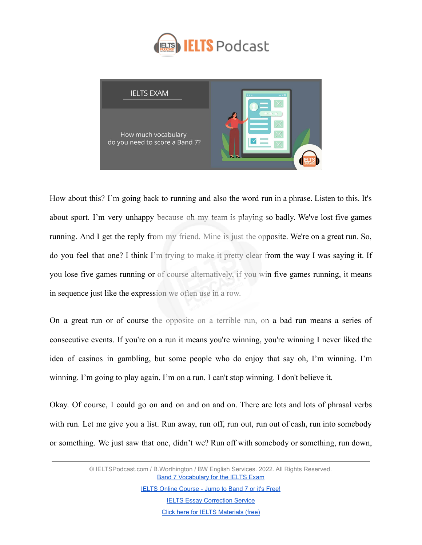



How about this? I'm going back to running and also the word run in a phrase. Listen to this. It's about sport. I'm very unhappy because oh my team is playing so badly. We've lost five games running. And I get the reply from my friend. Mine is just the opposite. We're on a great run. So, do you feel that one? I think I'm trying to make it pretty clear from the way I was saying it. If you lose five games running or of course alternatively, if you win five games running, it means in sequence just like the expression we often use in a row.

On a great run or of course the opposite on a terrible run, on a bad run means a series of consecutive events. If you're on a run it means you're winning, you're winning I never liked the idea of casinos in gambling, but some people who do enjoy that say oh, I'm winning. I'm winning. I'm going to play again. I'm on a run. I can't stop winning. I don't believe it.

Okay. Of course, I could go on and on and on and on. There are lots and lots of phrasal verbs with run. Let me give you a list. Run away, run off, run out, run out of cash, run into somebody or something. We just saw that one, didn't we? Run off with somebody or something, run down,

> © IELTSPodcast.com / B.Worthington / BW English Services. 2022. All Rights Reserved. **[Band 7 Vocabulary for the IELTS Exam](https://www.ieltspodcast.com/audio-tutorials/band-7-vocabulary-ielts-exam/?utm_source=blog_transcript&utm_medium=weekly&utm_term=&utm_content=&utm_campaign=post552)**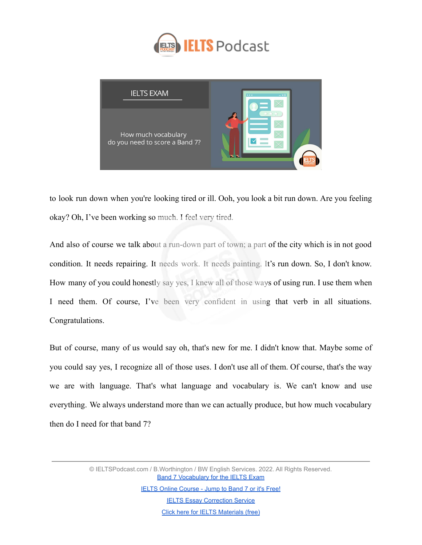



to look run down when you're looking tired or ill. Ooh, you look a bit run down. Are you feeling okay? Oh, I've been working so much. I feel very tired.

And also of course we talk about a run-down part of town; a part of the city which is in not good condition. It needs repairing. It needs work. It needs painting. It's run down. So, I don't know. How many of you could honestly say yes, I knew all of those ways of using run. I use them when I need them. Of course, I've been very confident in using that verb in all situations. Congratulations.

But of course, many of us would say oh, that's new for me. I didn't know that. Maybe some of you could say yes, I recognize all of those uses. I don't use all of them. Of course, that's the way we are with language. That's what language and vocabulary is. We can't know and use everything. We always understand more than we can actually produce, but how much vocabulary then do I need for that band 7?

> © IELTSPodcast.com / B.Worthington / BW English Services. 2022. All Rights Reserved. **[Band 7 Vocabulary for the IELTS Exam](https://www.ieltspodcast.com/audio-tutorials/band-7-vocabulary-ielts-exam/?utm_source=blog_transcript&utm_medium=weekly&utm_term=&utm_content=&utm_campaign=post552)**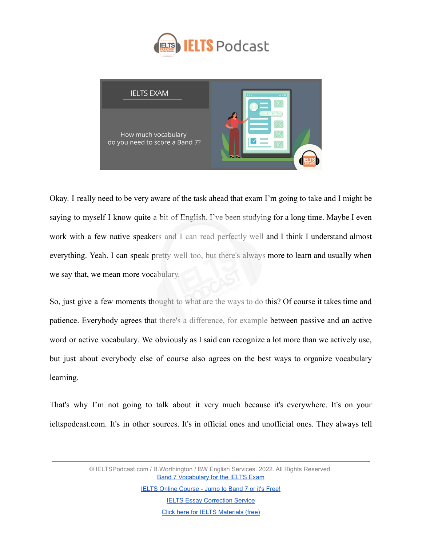



Okay. I really need to be very aware of the task ahead that exam I'm going to take and I might be saying to myself I know quite a bit of English. I've been studying for a long time. Maybe I even work with a few native speakers and I can read perfectly well and I think I understand almost everything. Yeah. I can speak pretty well too, but there's always more to learn and usually when we say that, we mean more vocabulary.

So, just give a few moments thought to what are the ways to do this? Of course it takes time and patience. Everybody agrees that there's a difference, for example between passive and an active word or active vocabulary. We obviously as I said can recognize a lot more than we actively use, but just about everybody else of course also agrees on the best ways to organize vocabulary learning.

That's why I'm not going to talk about it very much because it's everywhere. It's on your ieltspodcast.com. It's in other sources. It's in official ones and unofficial ones. They always tell

> © IELTSPodcast.com / B.Worthington / BW English Services. 2022. All Rights Reserved. **[Band 7 Vocabulary for the IELTS Exam](https://www.ieltspodcast.com/audio-tutorials/band-7-vocabulary-ielts-exam/?utm_source=blog_transcript&utm_medium=weekly&utm_term=&utm_content=&utm_campaign=post552)**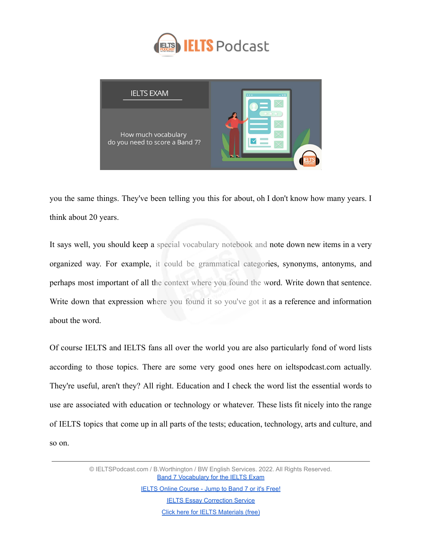



you the same things. They've been telling you this for about, oh I don't know how many years. I think about 20 years.

It says well, you should keep a special vocabulary notebook and note down new items in a very organized way. For example, it could be grammatical categories, synonyms, antonyms, and perhaps most important of all the context where you found the word. Write down that sentence. Write down that expression where you found it so you've got it as a reference and information about the word.

Of course IELTS and IELTS fans all over the world you are also particularly fond of word lists according to those topics. There are some very good ones here on ieltspodcast.com actually. They're useful, aren't they? All right. Education and I check the word list the essential words to use are associated with education or technology or whatever. These lists fit nicely into the range of IELTS topics that come up in all parts of the tests; education, technology, arts and culture, and so on.

> © IELTSPodcast.com / B.Worthington / BW English Services. 2022. All Rights Reserved. **[Band 7 Vocabulary for the IELTS Exam](https://www.ieltspodcast.com/audio-tutorials/band-7-vocabulary-ielts-exam/?utm_source=blog_transcript&utm_medium=weekly&utm_term=&utm_content=&utm_campaign=post552)**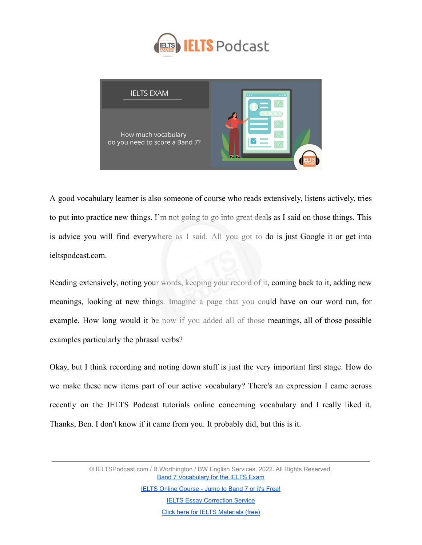



A good vocabulary learner is also someone of course who reads extensively, listens actively, tries to put into practice new things. I'm not going to go into great deals as I said on those things. This is advice you will find everywhere as I said. All you got to do is just Google it or get into ieltspodcast.com.

Reading extensively, noting your words, keeping your record of it, coming back to it, adding new meanings, looking at new things. Imagine a page that you could have on our word run, for example. How long would it be now if you added all of those meanings, all of those possible examples particularly the phrasal verbs?

Okay, but I think recording and noting down stuff is just the very important first stage. How do we make these new items part of our active vocabulary? There's an expression I came across recently on the IELTS Podcast tutorials online concerning vocabulary and I really liked it. Thanks, Ben. I don't know if it came from you. It probably did, but this is it.

> © IELTSPodcast.com / B.Worthington / BW English Services. 2022. All Rights Reserved. **[Band 7 Vocabulary for the IELTS Exam](https://www.ieltspodcast.com/audio-tutorials/band-7-vocabulary-ielts-exam/?utm_source=blog_transcript&utm_medium=weekly&utm_term=&utm_content=&utm_campaign=post552)**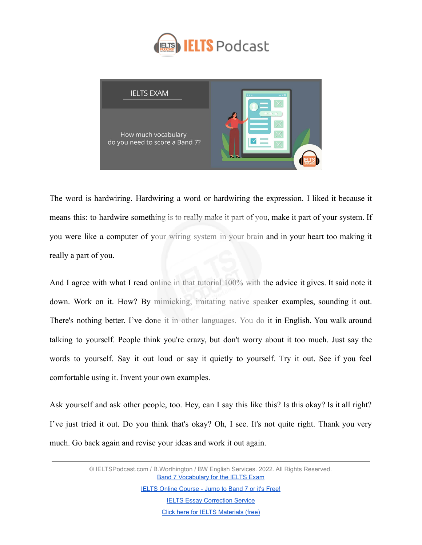



The word is hardwiring. Hardwiring a word or hardwiring the expression. I liked it because it means this: to hardwire something is to really make it part of you, make it part of your system. If you were like a computer of your wiring system in your brain and in your heart too making it really a part of you.

And I agree with what I read online in that tutorial 100% with the advice it gives. It said note it down. Work on it. How? By mimicking, imitating native speaker examples, sounding it out. There's nothing better. I've done it in other languages. You do it in English. You walk around talking to yourself. People think you're crazy, but don't worry about it too much. Just say the words to yourself. Say it out loud or say it quietly to yourself. Try it out. See if you feel comfortable using it. Invent your own examples.

Ask yourself and ask other people, too. Hey, can I say this like this? Is this okay? Is it all right? I've just tried it out. Do you think that's okay? Oh, I see. It's not quite right. Thank you very much. Go back again and revise your ideas and work it out again.

> © IELTSPodcast.com / B.Worthington / BW English Services. 2022. All Rights Reserved. **[Band 7 Vocabulary for the IELTS Exam](https://www.ieltspodcast.com/audio-tutorials/band-7-vocabulary-ielts-exam/?utm_source=blog_transcript&utm_medium=weekly&utm_term=&utm_content=&utm_campaign=post552)** [IELTS Online Course - Jump to Band 7 or it's Free!](https://www.ieltspodcast.com/online-ielts-course/?utm_source=blog_transcript&utm_medium=weekly&utm_term=&utm_content=&utm_campaign=post552) **[IELTS Essay Correction Service](https://www.ieltspodcast.com/essay-correction-service/?utm_source=blog_transcript&utm_medium=weekly&utm_term=&utm_content=&utm_campaign=post552)**

> > [Click here for IELTS Materials \(free\)](https://www.ieltspodcast.com/sign/?utm_source=blog_transcript&utm_medium=weekly&utm_term=&utm_content=&utm_campaign=post552)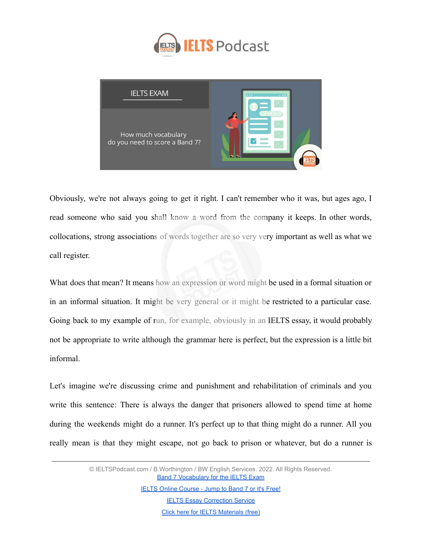



Obviously, we're not always going to get it right. I can't remember who it was, but ages ago, I read someone who said you shall know a word from the company it keeps. In other words, collocations, strong associations of words together are so very very important as well as what we call register.

What does that mean? It means how an expression or word might be used in a formal situation or in an informal situation. It might be very general or it might be restricted to a particular case. Going back to my example of run, for example, obviously in an IELTS essay, it would probably not be appropriate to write although the grammar here is perfect, but the expression is a little bit informal.

Let's imagine we're discussing crime and punishment and rehabilitation of criminals and you write this sentence: There is always the danger that prisoners allowed to spend time at home during the weekends might do a runner. It's perfect up to that thing might do a runner. All you really mean is that they might escape, not go back to prison or whatever, but do a runner is

> © IELTSPodcast.com / B.Worthington / BW English Services. 2022. All Rights Reserved. **[Band 7 Vocabulary for the IELTS Exam](https://www.ieltspodcast.com/audio-tutorials/band-7-vocabulary-ielts-exam/?utm_source=blog_transcript&utm_medium=weekly&utm_term=&utm_content=&utm_campaign=post552)**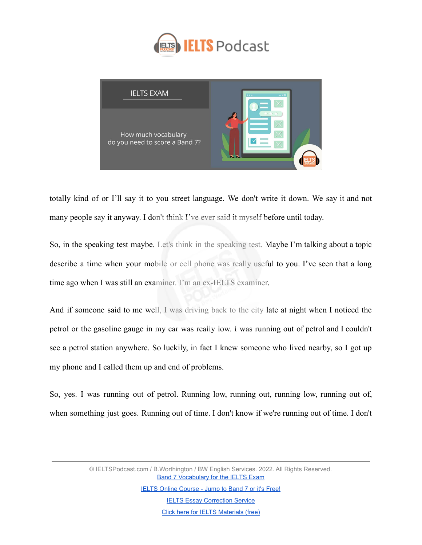



totally kind of or I'll say it to you street language. We don't write it down. We say it and not many people say it anyway. I don't think I've ever said it myself before until today.

So, in the speaking test maybe. Let's think in the speaking test. Maybe I'm talking about a topic describe a time when your mobile or cell phone was really useful to you. I've seen that a long time ago when I was still an examiner. I'm an ex-IELTS examiner.

And if someone said to me well, I was driving back to the city late at night when I noticed the petrol or the gasoline gauge in my car was really low. I was running out of petrol and I couldn't see a petrol station anywhere. So luckily, in fact I knew someone who lived nearby, so I got up my phone and I called them up and end of problems.

So, yes. I was running out of petrol. Running low, running out, running low, running out of, when something just goes. Running out of time. I don't know if we're running out of time. I don't

> © IELTSPodcast.com / B.Worthington / BW English Services. 2022. All Rights Reserved. **[Band 7 Vocabulary for the IELTS Exam](https://www.ieltspodcast.com/audio-tutorials/band-7-vocabulary-ielts-exam/?utm_source=blog_transcript&utm_medium=weekly&utm_term=&utm_content=&utm_campaign=post552)**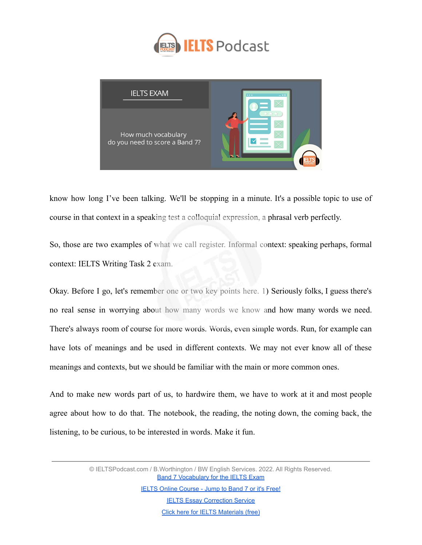



know how long I've been talking. We'll be stopping in a minute. It's a possible topic to use of course in that context in a speaking test a colloquial expression, a phrasal verb perfectly.

So, those are two examples of what we call register. Informal context: speaking perhaps, formal context: IELTS Writing Task 2 exam.

Okay. Before I go, let's remember one or two key points here. 1) Seriously folks, I guess there's no real sense in worrying about how many words we know and how many words we need. There's always room of course for more words. Words, even simple words. Run, for example can have lots of meanings and be used in different contexts. We may not ever know all of these meanings and contexts, but we should be familiar with the main or more common ones.

And to make new words part of us, to hardwire them, we have to work at it and most people agree about how to do that. The notebook, the reading, the noting down, the coming back, the listening, to be curious, to be interested in words. Make it fun.

> © IELTSPodcast.com / B.Worthington / BW English Services. 2022. All Rights Reserved. **[Band 7 Vocabulary for the IELTS Exam](https://www.ieltspodcast.com/audio-tutorials/band-7-vocabulary-ielts-exam/?utm_source=blog_transcript&utm_medium=weekly&utm_term=&utm_content=&utm_campaign=post552)**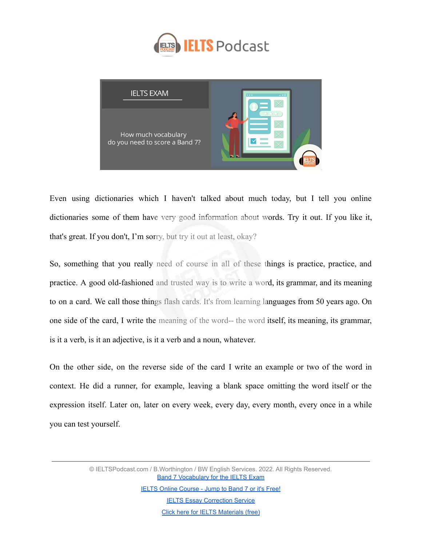



Even using dictionaries which I haven't talked about much today, but I tell you online dictionaries some of them have very good information about words. Try it out. If you like it, that's great. If you don't, I'm sorry, but try it out at least, okay?

So, something that you really need of course in all of these things is practice, practice, and practice. A good old-fashioned and trusted way is to write a word, its grammar, and its meaning to on a card. We call those things flash cards. It's from learning languages from 50 years ago. On one side of the card, I write the meaning of the word-- the word itself, its meaning, its grammar, is it a verb, is it an adjective, is it a verb and a noun, whatever.

On the other side, on the reverse side of the card I write an example or two of the word in context. He did a runner, for example, leaving a blank space omitting the word itself or the expression itself. Later on, later on every week, every day, every month, every once in a while you can test yourself.

> © IELTSPodcast.com / B.Worthington / BW English Services. 2022. All Rights Reserved. **[Band 7 Vocabulary for the IELTS Exam](https://www.ieltspodcast.com/audio-tutorials/band-7-vocabulary-ielts-exam/?utm_source=blog_transcript&utm_medium=weekly&utm_term=&utm_content=&utm_campaign=post552)**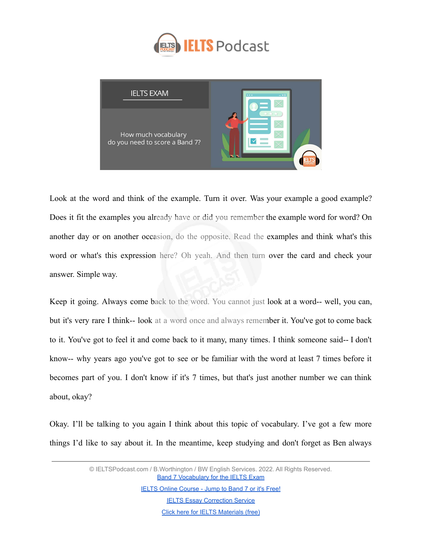



Look at the word and think of the example. Turn it over. Was your example a good example? Does it fit the examples you already have or did you remember the example word for word? On another day or on another occasion, do the opposite. Read the examples and think what's this word or what's this expression here? Oh yeah. And then turn over the card and check your answer. Simple way.

Keep it going. Always come back to the word. You cannot just look at a word-- well, you can, but it's very rare I think-- look at a word once and always remember it. You've got to come back to it. You've got to feel it and come back to it many, many times. I think someone said-- I don't know-- why years ago you've got to see or be familiar with the word at least 7 times before it becomes part of you. I don't know if it's 7 times, but that's just another number we can think about, okay?

Okay. I'll be talking to you again I think about this topic of vocabulary. I've got a few more things I'd like to say about it. In the meantime, keep studying and don't forget as Ben always

> © IELTSPodcast.com / B.Worthington / BW English Services. 2022. All Rights Reserved. **[Band 7 Vocabulary for the IELTS Exam](https://www.ieltspodcast.com/audio-tutorials/band-7-vocabulary-ielts-exam/?utm_source=blog_transcript&utm_medium=weekly&utm_term=&utm_content=&utm_campaign=post552)**